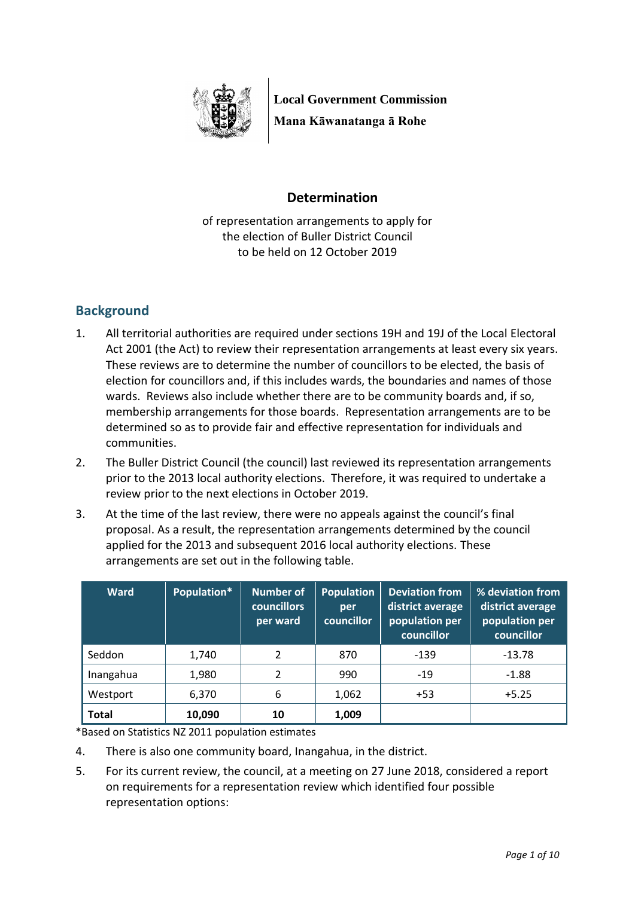

**Local Government Commission Mana Kāwanatanga ā Rohe**

## **Determination**

of representation arrangements to apply for the election of Buller District Council to be held on 12 October 2019

# **Background**

- 1. All territorial authorities are required under sections 19H and 19J of the Local Electoral Act 2001 (the Act) to review their representation arrangements at least every six years. These reviews are to determine the number of councillors to be elected, the basis of election for councillors and, if this includes wards, the boundaries and names of those wards. Reviews also include whether there are to be community boards and, if so, membership arrangements for those boards. Representation arrangements are to be determined so as to provide fair and effective representation for individuals and communities.
- 2. The Buller District Council (the council) last reviewed its representation arrangements prior to the 2013 local authority elections. Therefore, it was required to undertake a review prior to the next elections in October 2019.
- 3. At the time of the last review, there were no appeals against the council's final proposal. As a result, the representation arrangements determined by the council applied for the 2013 and subsequent 2016 local authority elections. These arrangements are set out in the following table.

| <b>Ward</b>  | Population* | <b>Number of</b><br><b>councillors</b><br>per ward | <b>Population</b><br>per<br>councillor | <b>Deviation from</b><br>district average<br>population per<br>councillor | % deviation from<br>district average<br>population per<br>councillor |
|--------------|-------------|----------------------------------------------------|----------------------------------------|---------------------------------------------------------------------------|----------------------------------------------------------------------|
| Seddon       | 1,740       | 2                                                  | 870                                    | $-139$                                                                    | -13.78                                                               |
| Inangahua    | 1,980       | $\overline{\phantom{a}}$                           | 990                                    | $-19$                                                                     | $-1.88$                                                              |
| Westport     | 6,370       | 6                                                  | 1,062                                  | $+53$                                                                     | $+5.25$                                                              |
| <b>Total</b> | 10,090      | 10                                                 | 1,009                                  |                                                                           |                                                                      |

\*Based on Statistics NZ 2011 population estimates

- 4. There is also one community board, Inangahua, in the district.
- 5. For its current review, the council, at a meeting on 27 June 2018, considered a report on requirements for a representation review which identified four possible representation options: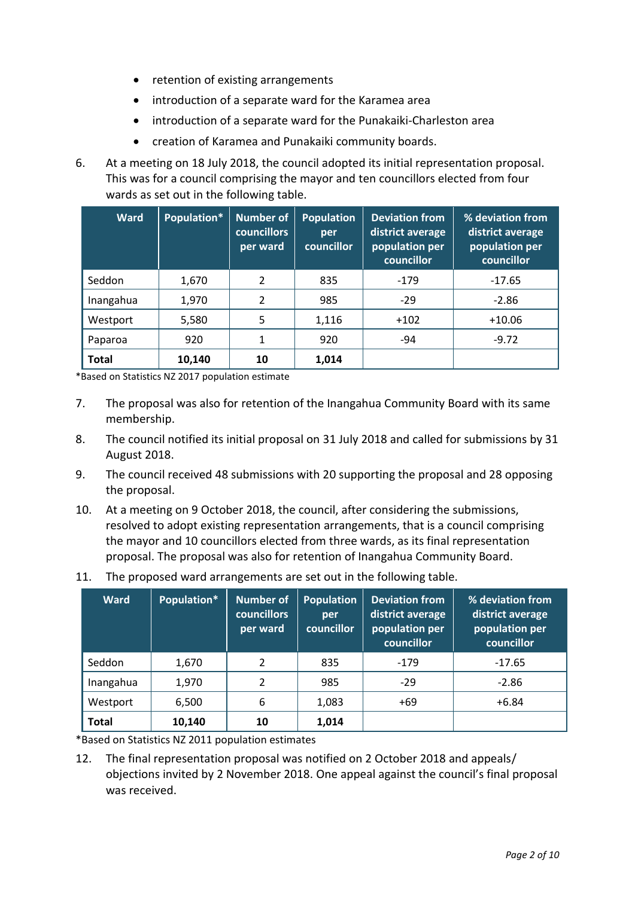- retention of existing arrangements
- introduction of a separate ward for the Karamea area
- introduction of a separate ward for the Punakaiki-Charleston area
- creation of Karamea and Punakaiki community boards.
- 6. At a meeting on 18 July 2018, the council adopted its initial representation proposal. This was for a council comprising the mayor and ten councillors elected from four wards as set out in the following table.

| <b>Ward</b>  | Population* | <b>Number of</b><br><b>councillors</b><br>per ward | <b>Population</b><br>per<br>councillor | <b>Deviation from</b><br>district average<br>population per<br>councillor | % deviation from<br>district average<br>population per<br>councillor |
|--------------|-------------|----------------------------------------------------|----------------------------------------|---------------------------------------------------------------------------|----------------------------------------------------------------------|
| Seddon       | 1,670       | 2                                                  | 835                                    | $-179$                                                                    | $-17.65$                                                             |
| Inangahua    | 1,970       | 2                                                  | 985                                    | $-29$                                                                     | $-2.86$                                                              |
| Westport     | 5,580       | 5                                                  | 1,116                                  | $+102$                                                                    | $+10.06$                                                             |
| Paparoa      | 920         | 1                                                  | 920                                    | $-94$                                                                     | $-9.72$                                                              |
| <b>Total</b> | 10,140      | 10                                                 | 1,014                                  |                                                                           |                                                                      |

\*Based on Statistics NZ 2017 population estimate

- 7. The proposal was also for retention of the Inangahua Community Board with its same membership.
- 8. The council notified its initial proposal on 31 July 2018 and called for submissions by 31 August 2018.
- 9. The council received 48 submissions with 20 supporting the proposal and 28 opposing the proposal.
- 10. At a meeting on 9 October 2018, the council, after considering the submissions, resolved to adopt existing representation arrangements, that is a council comprising the mayor and 10 councillors elected from three wards, as its final representation proposal. The proposal was also for retention of Inangahua Community Board.
- 11. The proposed ward arrangements are set out in the following table.

| <b>Ward</b>  | Population* | <b>Number of</b><br><b>councillors</b><br>per ward | <b>Population</b><br>per<br>councillor | <b>Deviation from</b><br>district average<br>population per<br>councillor | % deviation from<br>district average<br>population per<br>councillor |
|--------------|-------------|----------------------------------------------------|----------------------------------------|---------------------------------------------------------------------------|----------------------------------------------------------------------|
| Seddon       | 1,670       | 2                                                  | 835                                    | $-179$                                                                    | $-17.65$                                                             |
| Inangahua    | 1,970       | 2                                                  | 985                                    | $-29$                                                                     | $-2.86$                                                              |
| Westport     | 6,500       | 6                                                  | 1,083                                  | $+69$                                                                     | $+6.84$                                                              |
| <b>Total</b> | 10,140      | 10                                                 | 1,014                                  |                                                                           |                                                                      |

\*Based on Statistics NZ 2011 population estimates

12. The final representation proposal was notified on 2 October 2018 and appeals/ objections invited by 2 November 2018. One appeal against the council's final proposal was received.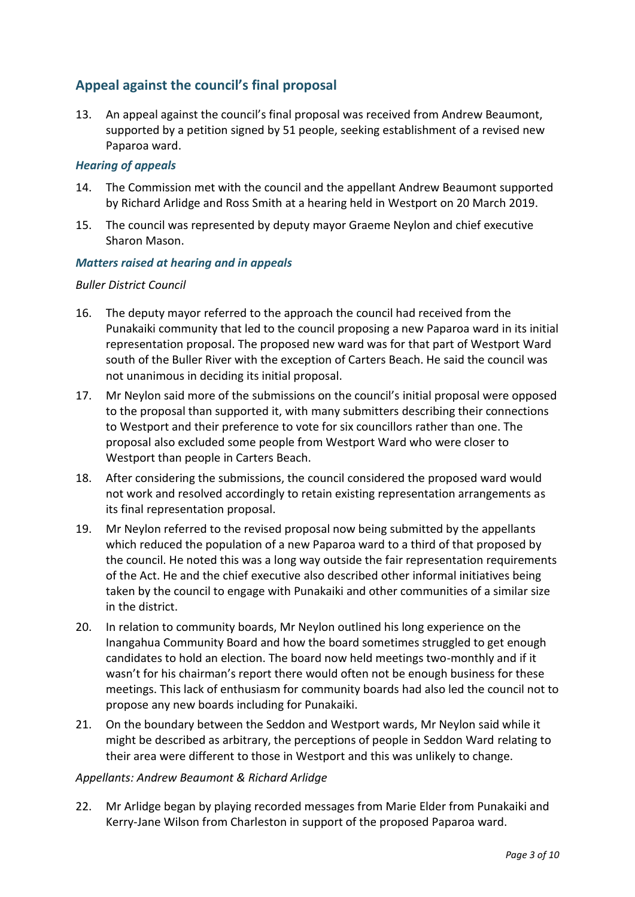## **Appeal against the council's final proposal**

13. An appeal against the council's final proposal was received from Andrew Beaumont, supported by a petition signed by 51 people, seeking establishment of a revised new Paparoa ward.

#### *Hearing of appeals*

- 14. The Commission met with the council and the appellant Andrew Beaumont supported by Richard Arlidge and Ross Smith at a hearing held in Westport on 20 March 2019.
- 15. The council was represented by deputy mayor Graeme Neylon and chief executive Sharon Mason.

#### *Matters raised at hearing and in appeals*

#### *Buller District Council*

- 16. The deputy mayor referred to the approach the council had received from the Punakaiki community that led to the council proposing a new Paparoa ward in its initial representation proposal. The proposed new ward was for that part of Westport Ward south of the Buller River with the exception of Carters Beach. He said the council was not unanimous in deciding its initial proposal.
- 17. Mr Neylon said more of the submissions on the council's initial proposal were opposed to the proposal than supported it, with many submitters describing their connections to Westport and their preference to vote for six councillors rather than one. The proposal also excluded some people from Westport Ward who were closer to Westport than people in Carters Beach.
- 18. After considering the submissions, the council considered the proposed ward would not work and resolved accordingly to retain existing representation arrangements as its final representation proposal.
- 19. Mr Neylon referred to the revised proposal now being submitted by the appellants which reduced the population of a new Paparoa ward to a third of that proposed by the council. He noted this was a long way outside the fair representation requirements of the Act. He and the chief executive also described other informal initiatives being taken by the council to engage with Punakaiki and other communities of a similar size in the district.
- 20. In relation to community boards, Mr Neylon outlined his long experience on the Inangahua Community Board and how the board sometimes struggled to get enough candidates to hold an election. The board now held meetings two-monthly and if it wasn't for his chairman's report there would often not be enough business for these meetings. This lack of enthusiasm for community boards had also led the council not to propose any new boards including for Punakaiki.
- 21. On the boundary between the Seddon and Westport wards, Mr Neylon said while it might be described as arbitrary, the perceptions of people in Seddon Ward relating to their area were different to those in Westport and this was unlikely to change.

### *Appellants: Andrew Beaumont & Richard Arlidge*

22. Mr Arlidge began by playing recorded messages from Marie Elder from Punakaiki and Kerry-Jane Wilson from Charleston in support of the proposed Paparoa ward.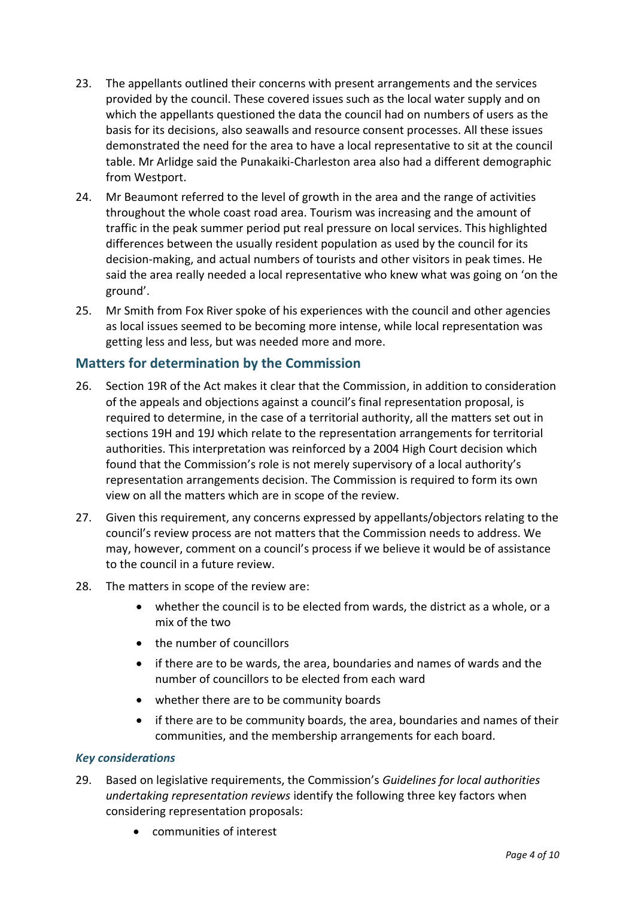- 23. The appellants outlined their concerns with present arrangements and the services provided by the council. These covered issues such as the local water supply and on which the appellants questioned the data the council had on numbers of users as the basis for its decisions, also seawalls and resource consent processes. All these issues demonstrated the need for the area to have a local representative to sit at the council table. Mr Arlidge said the Punakaiki-Charleston area also had a different demographic from Westport.
- 24. Mr Beaumont referred to the level of growth in the area and the range of activities throughout the whole coast road area. Tourism was increasing and the amount of traffic in the peak summer period put real pressure on local services. This highlighted differences between the usually resident population as used by the council for its decision-making, and actual numbers of tourists and other visitors in peak times. He said the area really needed a local representative who knew what was going on 'on the ground'.
- 25. Mr Smith from Fox River spoke of his experiences with the council and other agencies as local issues seemed to be becoming more intense, while local representation was getting less and less, but was needed more and more.

## **Matters for determination by the Commission**

- 26. Section 19R of the Act makes it clear that the Commission, in addition to consideration of the appeals and objections against a council's final representation proposal, is required to determine, in the case of a territorial authority, all the matters set out in sections 19H and 19J which relate to the representation arrangements for territorial authorities. This interpretation was reinforced by a 2004 High Court decision which found that the Commission's role is not merely supervisory of a local authority's representation arrangements decision. The Commission is required to form its own view on all the matters which are in scope of the review.
- 27. Given this requirement, any concerns expressed by appellants/objectors relating to the council's review process are not matters that the Commission needs to address. We may, however, comment on a council's process if we believe it would be of assistance to the council in a future review.
- 28. The matters in scope of the review are:
	- whether the council is to be elected from wards, the district as a whole, or a mix of the two
	- the number of councillors
	- if there are to be wards, the area, boundaries and names of wards and the number of councillors to be elected from each ward
	- whether there are to be community boards
	- if there are to be community boards, the area, boundaries and names of their communities, and the membership arrangements for each board.

#### *Key considerations*

- 29. Based on legislative requirements, the Commission's *Guidelines for local authorities undertaking representation reviews* identify the following three key factors when considering representation proposals:
	- communities of interest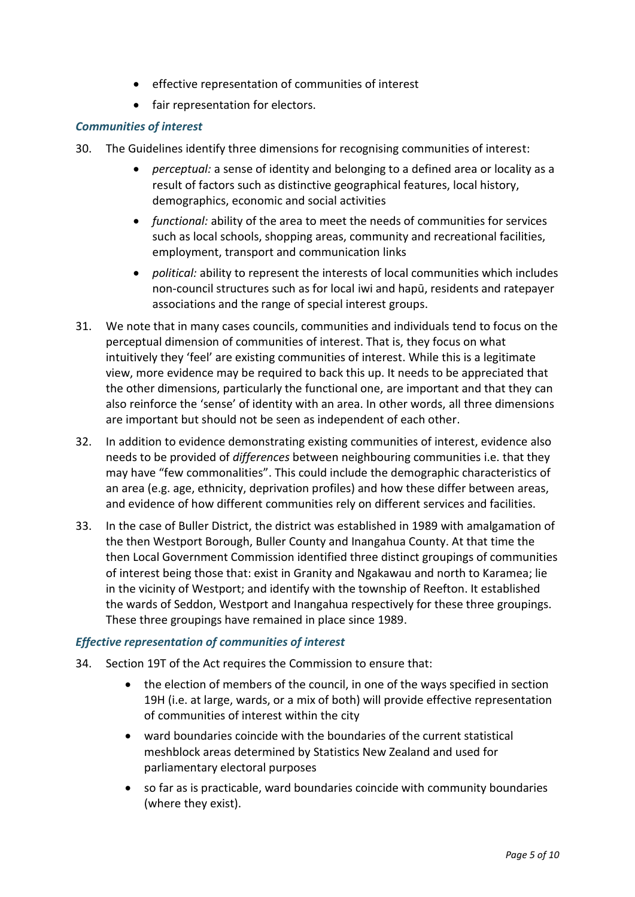- effective representation of communities of interest
- fair representation for electors.

#### *Communities of interest*

- 30. The Guidelines identify three dimensions for recognising communities of interest:
	- *perceptual:* a sense of identity and belonging to a defined area or locality as a result of factors such as distinctive geographical features, local history, demographics, economic and social activities
	- *functional:* ability of the area to meet the needs of communities for services such as local schools, shopping areas, community and recreational facilities, employment, transport and communication links
	- *political:* ability to represent the interests of local communities which includes non-council structures such as for local iwi and hapū, residents and ratepayer associations and the range of special interest groups.
- 31. We note that in many cases councils, communities and individuals tend to focus on the perceptual dimension of communities of interest. That is, they focus on what intuitively they 'feel' are existing communities of interest. While this is a legitimate view, more evidence may be required to back this up. It needs to be appreciated that the other dimensions, particularly the functional one, are important and that they can also reinforce the 'sense' of identity with an area. In other words, all three dimensions are important but should not be seen as independent of each other.
- 32. In addition to evidence demonstrating existing communities of interest, evidence also needs to be provided of *differences* between neighbouring communities i.e. that they may have "few commonalities". This could include the demographic characteristics of an area (e.g. age, ethnicity, deprivation profiles) and how these differ between areas, and evidence of how different communities rely on different services and facilities.
- 33. In the case of Buller District, the district was established in 1989 with amalgamation of the then Westport Borough, Buller County and Inangahua County. At that time the then Local Government Commission identified three distinct groupings of communities of interest being those that: exist in Granity and Ngakawau and north to Karamea; lie in the vicinity of Westport; and identify with the township of Reefton. It established the wards of Seddon, Westport and Inangahua respectively for these three groupings. These three groupings have remained in place since 1989.

#### *Effective representation of communities of interest*

- 34. Section 19T of the Act requires the Commission to ensure that:
	- the election of members of the council, in one of the ways specified in section 19H (i.e. at large, wards, or a mix of both) will provide effective representation of communities of interest within the city
	- ward boundaries coincide with the boundaries of the current statistical meshblock areas determined by Statistics New Zealand and used for parliamentary electoral purposes
	- so far as is practicable, ward boundaries coincide with community boundaries (where they exist).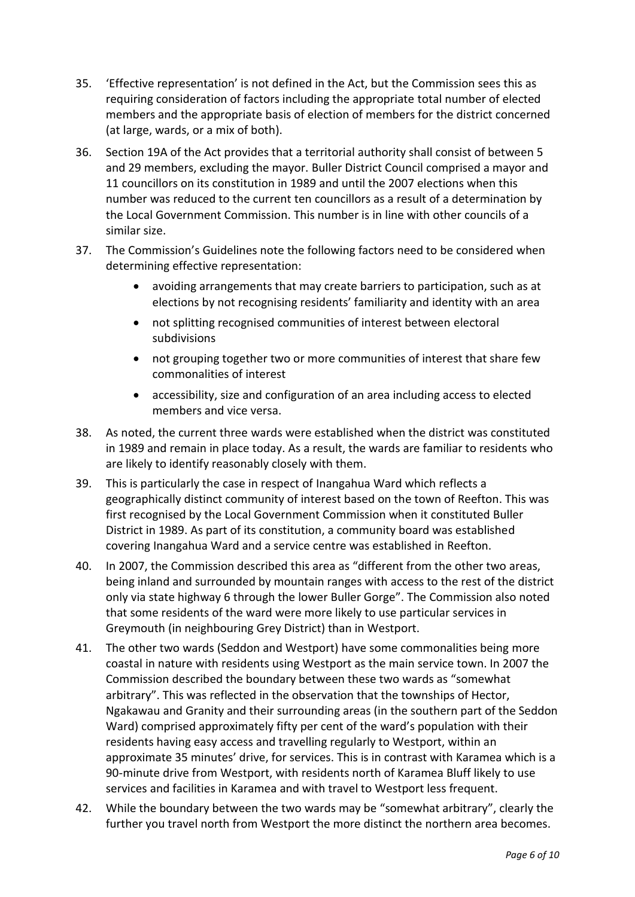- 35. 'Effective representation' is not defined in the Act, but the Commission sees this as requiring consideration of factors including the appropriate total number of elected members and the appropriate basis of election of members for the district concerned (at large, wards, or a mix of both).
- 36. Section 19A of the Act provides that a territorial authority shall consist of between 5 and 29 members, excluding the mayor. Buller District Council comprised a mayor and 11 councillors on its constitution in 1989 and until the 2007 elections when this number was reduced to the current ten councillors as a result of a determination by the Local Government Commission. This number is in line with other councils of a similar size.
- 37. The Commission's Guidelines note the following factors need to be considered when determining effective representation:
	- avoiding arrangements that may create barriers to participation, such as at elections by not recognising residents' familiarity and identity with an area
	- not splitting recognised communities of interest between electoral subdivisions
	- not grouping together two or more communities of interest that share few commonalities of interest
	- accessibility, size and configuration of an area including access to elected members and vice versa.
- 38. As noted, the current three wards were established when the district was constituted in 1989 and remain in place today. As a result, the wards are familiar to residents who are likely to identify reasonably closely with them.
- 39. This is particularly the case in respect of Inangahua Ward which reflects a geographically distinct community of interest based on the town of Reefton. This was first recognised by the Local Government Commission when it constituted Buller District in 1989. As part of its constitution, a community board was established covering Inangahua Ward and a service centre was established in Reefton.
- 40. In 2007, the Commission described this area as "different from the other two areas, being inland and surrounded by mountain ranges with access to the rest of the district only via state highway 6 through the lower Buller Gorge". The Commission also noted that some residents of the ward were more likely to use particular services in Greymouth (in neighbouring Grey District) than in Westport.
- 41. The other two wards (Seddon and Westport) have some commonalities being more coastal in nature with residents using Westport as the main service town. In 2007 the Commission described the boundary between these two wards as "somewhat arbitrary". This was reflected in the observation that the townships of Hector, Ngakawau and Granity and their surrounding areas (in the southern part of the Seddon Ward) comprised approximately fifty per cent of the ward's population with their residents having easy access and travelling regularly to Westport, within an approximate 35 minutes' drive, for services. This is in contrast with Karamea which is a 90-minute drive from Westport, with residents north of Karamea Bluff likely to use services and facilities in Karamea and with travel to Westport less frequent.
- 42. While the boundary between the two wards may be "somewhat arbitrary", clearly the further you travel north from Westport the more distinct the northern area becomes.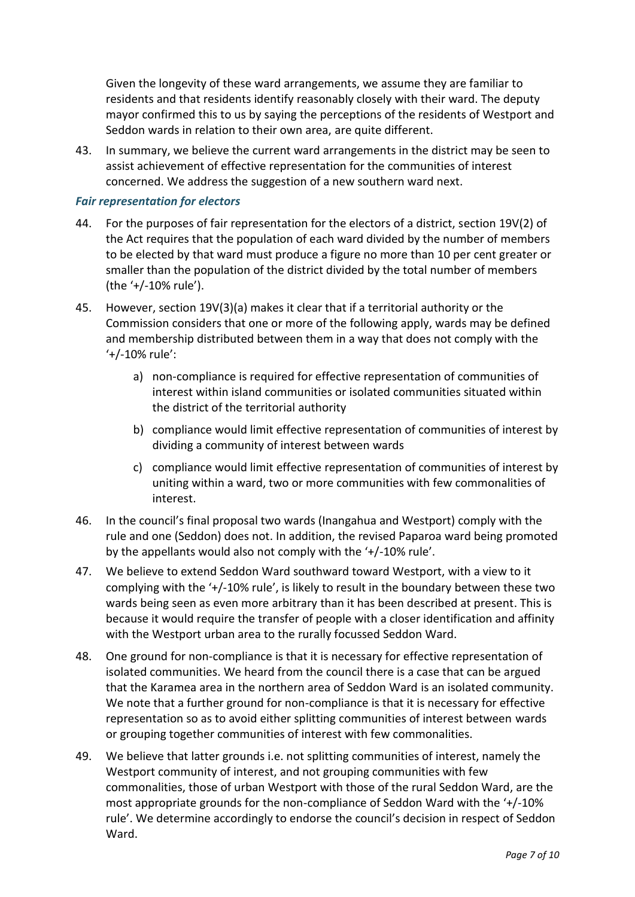Given the longevity of these ward arrangements, we assume they are familiar to residents and that residents identify reasonably closely with their ward. The deputy mayor confirmed this to us by saying the perceptions of the residents of Westport and Seddon wards in relation to their own area, are quite different.

43. In summary, we believe the current ward arrangements in the district may be seen to assist achievement of effective representation for the communities of interest concerned. We address the suggestion of a new southern ward next.

#### *Fair representation for electors*

- 44. For the purposes of fair representation for the electors of a district, section 19V(2) of the Act requires that the population of each ward divided by the number of members to be elected by that ward must produce a figure no more than 10 per cent greater or smaller than the population of the district divided by the total number of members (the '+/-10% rule').
- 45. However, section 19V(3)(a) makes it clear that if a territorial authority or the Commission considers that one or more of the following apply, wards may be defined and membership distributed between them in a way that does not comply with the '+/-10% rule':
	- a) non-compliance is required for effective representation of communities of interest within island communities or isolated communities situated within the district of the territorial authority
	- b) compliance would limit effective representation of communities of interest by dividing a community of interest between wards
	- c) compliance would limit effective representation of communities of interest by uniting within a ward, two or more communities with few commonalities of interest.
- 46. In the council's final proposal two wards (Inangahua and Westport) comply with the rule and one (Seddon) does not. In addition, the revised Paparoa ward being promoted by the appellants would also not comply with the '+/-10% rule'.
- 47. We believe to extend Seddon Ward southward toward Westport, with a view to it complying with the '+/-10% rule', is likely to result in the boundary between these two wards being seen as even more arbitrary than it has been described at present. This is because it would require the transfer of people with a closer identification and affinity with the Westport urban area to the rurally focussed Seddon Ward.
- 48. One ground for non-compliance is that it is necessary for effective representation of isolated communities. We heard from the council there is a case that can be argued that the Karamea area in the northern area of Seddon Ward is an isolated community. We note that a further ground for non-compliance is that it is necessary for effective representation so as to avoid either splitting communities of interest between wards or grouping together communities of interest with few commonalities.
- 49. We believe that latter grounds i.e. not splitting communities of interest, namely the Westport community of interest, and not grouping communities with few commonalities, those of urban Westport with those of the rural Seddon Ward, are the most appropriate grounds for the non-compliance of Seddon Ward with the '+/-10% rule'. We determine accordingly to endorse the council's decision in respect of Seddon Ward.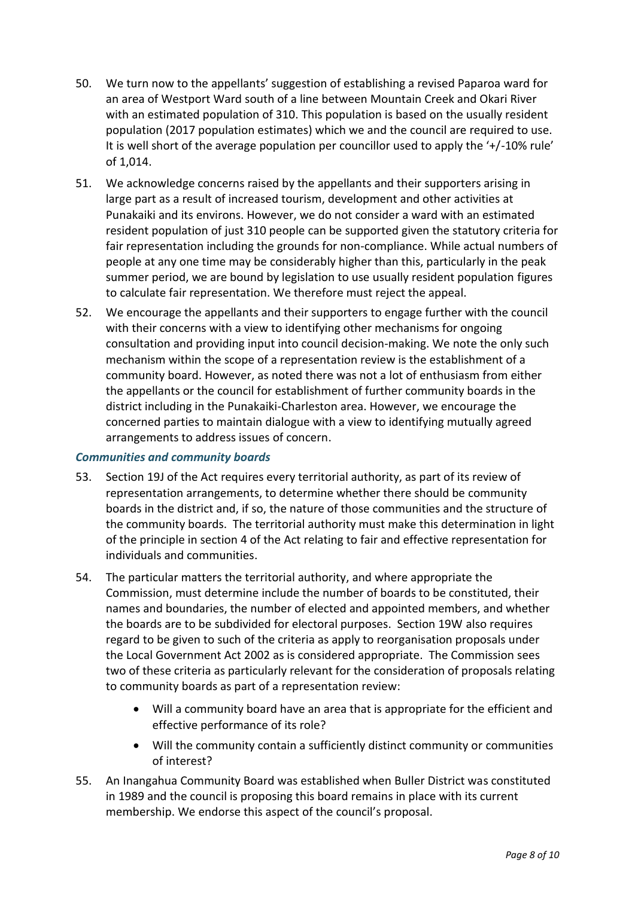- 50. We turn now to the appellants' suggestion of establishing a revised Paparoa ward for an area of Westport Ward south of a line between Mountain Creek and Okari River with an estimated population of 310. This population is based on the usually resident population (2017 population estimates) which we and the council are required to use. It is well short of the average population per councillor used to apply the '+/-10% rule' of 1,014.
- 51. We acknowledge concerns raised by the appellants and their supporters arising in large part as a result of increased tourism, development and other activities at Punakaiki and its environs. However, we do not consider a ward with an estimated resident population of just 310 people can be supported given the statutory criteria for fair representation including the grounds for non-compliance. While actual numbers of people at any one time may be considerably higher than this, particularly in the peak summer period, we are bound by legislation to use usually resident population figures to calculate fair representation. We therefore must reject the appeal.
- 52. We encourage the appellants and their supporters to engage further with the council with their concerns with a view to identifying other mechanisms for ongoing consultation and providing input into council decision-making. We note the only such mechanism within the scope of a representation review is the establishment of a community board. However, as noted there was not a lot of enthusiasm from either the appellants or the council for establishment of further community boards in the district including in the Punakaiki-Charleston area. However, we encourage the concerned parties to maintain dialogue with a view to identifying mutually agreed arrangements to address issues of concern.

#### *Communities and community boards*

- 53. Section 19J of the Act requires every territorial authority, as part of its review of representation arrangements, to determine whether there should be community boards in the district and, if so, the nature of those communities and the structure of the community boards. The territorial authority must make this determination in light of the principle in section 4 of the Act relating to fair and effective representation for individuals and communities.
- 54. The particular matters the territorial authority, and where appropriate the Commission, must determine include the number of boards to be constituted, their names and boundaries, the number of elected and appointed members, and whether the boards are to be subdivided for electoral purposes. Section 19W also requires regard to be given to such of the criteria as apply to reorganisation proposals under the Local Government Act 2002 as is considered appropriate. The Commission sees two of these criteria as particularly relevant for the consideration of proposals relating to community boards as part of a representation review:
	- Will a community board have an area that is appropriate for the efficient and effective performance of its role?
	- Will the community contain a sufficiently distinct community or communities of interest?
- 55. An Inangahua Community Board was established when Buller District was constituted in 1989 and the council is proposing this board remains in place with its current membership. We endorse this aspect of the council's proposal.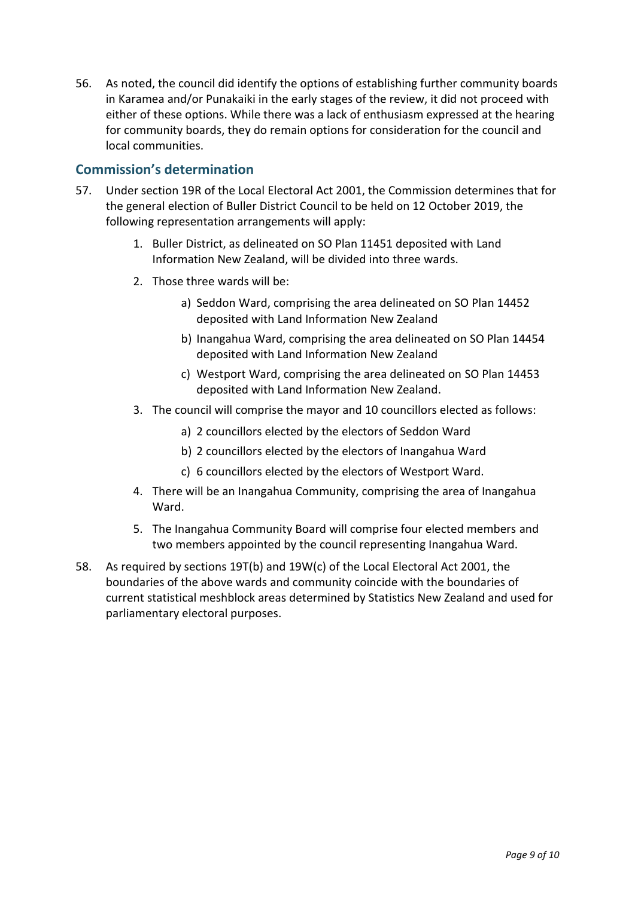56. As noted, the council did identify the options of establishing further community boards in Karamea and/or Punakaiki in the early stages of the review, it did not proceed with either of these options. While there was a lack of enthusiasm expressed at the hearing for community boards, they do remain options for consideration for the council and local communities.

## **Commission's determination**

- 57. Under section 19R of the Local Electoral Act 2001, the Commission determines that for the general election of Buller District Council to be held on 12 October 2019, the following representation arrangements will apply:
	- 1. Buller District, as delineated on SO Plan 11451 deposited with Land Information New Zealand, will be divided into three wards.
	- 2. Those three wards will be:
		- a) Seddon Ward, comprising the area delineated on SO Plan 14452 deposited with Land Information New Zealand
		- b) Inangahua Ward, comprising the area delineated on SO Plan 14454 deposited with Land Information New Zealand
		- c) Westport Ward, comprising the area delineated on SO Plan 14453 deposited with Land Information New Zealand.
	- 3. The council will comprise the mayor and 10 councillors elected as follows:
		- a) 2 councillors elected by the electors of Seddon Ward
		- b) 2 councillors elected by the electors of Inangahua Ward
		- c) 6 councillors elected by the electors of Westport Ward.
	- 4. There will be an Inangahua Community, comprising the area of Inangahua Ward.
	- 5. The Inangahua Community Board will comprise four elected members and two members appointed by the council representing Inangahua Ward.
- 58. As required by sections 19T(b) and 19W(c) of the Local Electoral Act 2001, the boundaries of the above wards and community coincide with the boundaries of current statistical meshblock areas determined by Statistics New Zealand and used for parliamentary electoral purposes.